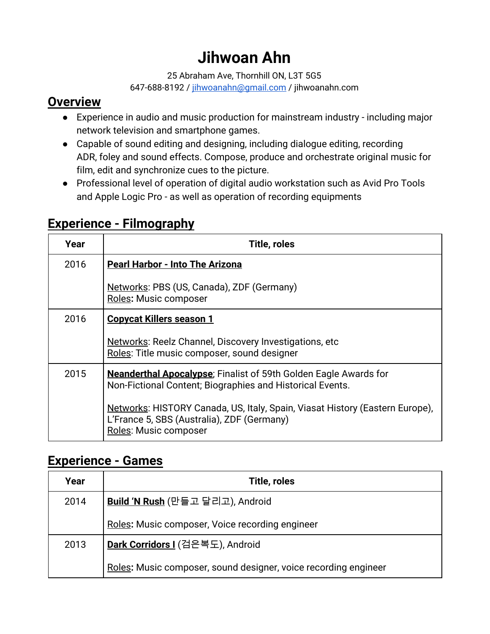# **Jihwoan Ahn**

25 Abraham Ave, Thornhill ON, L3T 5G5

647-688-8192 / [jihwoanahn@gmail.com](mailto:jihwoanahn@gmail.com) / jihwoanahn.com

### **Overview**

- Experience in audio and music production for mainstream industry including major network television and smartphone games.
- Capable of sound editing and designing, including dialogue editing, recording ADR, foley and sound effects. Compose, produce and orchestrate original music for film, edit and synchronize cues to the picture.
- Professional level of operation of digital audio workstation such as Avid Pro Tools and Apple Logic Pro - as well as operation of recording equipments

| Year | <b>Title, roles</b>                                                                                                                                 |
|------|-----------------------------------------------------------------------------------------------------------------------------------------------------|
| 2016 | <b>Pearl Harbor - Into The Arizona</b>                                                                                                              |
|      | Networks: PBS (US, Canada), ZDF (Germany)<br><b>Roles: Music composer</b>                                                                           |
| 2016 | <b>Copycat Killers season 1</b>                                                                                                                     |
|      | Networks: Reelz Channel, Discovery Investigations, etc<br>Roles: Title music composer, sound designer                                               |
| 2015 | <b>Neanderthal Apocalypse</b> ; Finalist of 59th Golden Eagle Awards for<br>Non-Fictional Content; Biographies and Historical Events.               |
|      | Networks: HISTORY Canada, US, Italy, Spain, Viasat History (Eastern Europe),<br>L'France 5, SBS (Australia), ZDF (Germany)<br>Roles: Music composer |

# **Experience - Filmography**

# **Experience - Games**

| Year | Title, roles                                                    |
|------|-----------------------------------------------------------------|
| 2014 | Build 'N Rush (만들고 달리고), Android                                |
|      | Roles: Music composer, Voice recording engineer                 |
| 2013 | Dark Corridors I (검은복도), Android                                |
|      | Roles: Music composer, sound designer, voice recording engineer |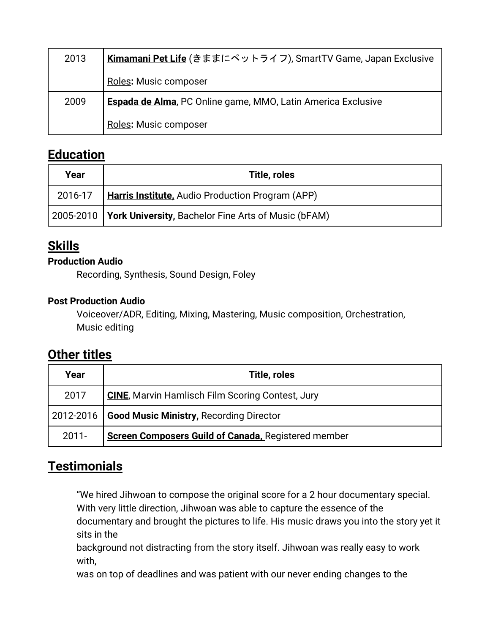| 2013 | Kimamani Pet Life (きままにペットライフ), SmartTV Game, Japan Exclusive       |
|------|---------------------------------------------------------------------|
|      | Roles: Music composer                                               |
| 2009 | <b>Espada de Alma, PC Online game, MMO, Latin America Exclusive</b> |
|      | Roles: Music composer                                               |

### **Education**

| Year | Title, roles                                                      |
|------|-------------------------------------------------------------------|
|      | 2016-17   <b>Harris Institute,</b> Audio Production Program (APP) |
|      | 2005-2010   York University, Bachelor Fine Arts of Music (bFAM)   |

# **Skills**

#### **Production Audio**

Recording, Synthesis, Sound Design, Foley

#### **Post Production Audio**

Voiceover/ADR, Editing, Mixing, Mastering, Music composition, Orchestration, Music editing

# **Other titles**

| Year      | Title, roles                                               |
|-----------|------------------------------------------------------------|
| 2017      | <b>CINE, Marvin Hamlisch Film Scoring Contest, Jury</b>    |
| 2012-2016 | Good Music Ministry, Recording Director                    |
| $2011 -$  | <b>Screen Composers Guild of Canada, Registered member</b> |

# **Testimonials**

"We hired Jihwoan to compose the original score for a 2 hour documentary special. With very little direction, Jihwoan was able to capture the essence of the documentary and brought the pictures to life. His music draws you into the story yet it sits in the

background not distracting from the story itself. Jihwoan was really easy to work with,

was on top of deadlines and was patient with our never ending changes to the